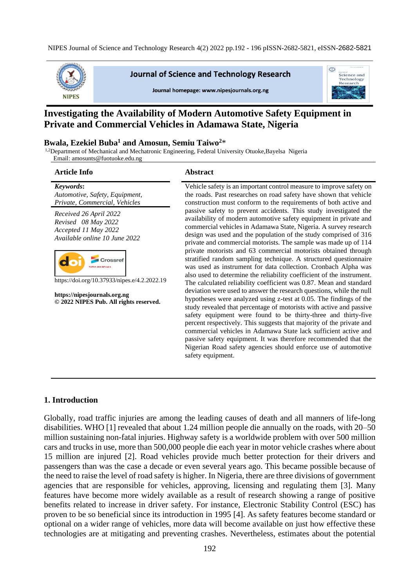NIPES Journal of Science and Technology Research 4(2) 2022 pp.192 - 196 pISSN-2682-5821, eISSN-2682-5821



**Journal of Science and Technology Research** 



Journal homepage: www.nipesjournals.org.ng

# **Investigating the Availability of Modern Automotive Safety Equipment in Private and Commercial Vehicles in Adamawa State, Nigeria**

#### **Bwala, Ezekiel Buba<sup>1</sup> and Amosun, Semiu Taiwo<sup>2</sup>**\*

<sup>1,2</sup>Department of Mechanical and Mechatronic Engineering, Federal University Otuoke,Bayelsa Nigeria Email: amosunts@fuotuoke.edu.ng

#### **Article Info Abstract**

*Keywords***:** *Automotive, Safety, Equipment, Private, Commercial, Vehicles*

*Received 26 April 2022 Revised 08 May 2022 Accepted 11 May 2022 Available online 10 June 2022*



https://doi.org/10.37933/nipes.e/4.2.2022.19

**https://nipesjournals.org.ng © 2022 NIPES Pub. All rights reserved.**

Vehicle safety is an important control measure to improve safety on the roads. Past researches on road safety have shown that vehicle construction must conform to the requirements of both active and passive safety to prevent accidents. This study investigated the availability of modern automotive safety equipment in private and commercial vehicles in Adamawa State, Nigeria. A survey research design was used and the population of the study comprised of 316 private and commercial motorists. The sample was made up of 114 private motorists and 63 commercial motorists obtained through stratified random sampling technique. A structured questionnaire was used as instrument for data collection. Cronbach Alpha was also used to determine the reliability coefficient of the instrument. The calculated reliability coefficient was 0.87. Mean and standard deviation were used to answer the research questions, while the null hypotheses were analyzed using z-test at 0.05. The findings of the study revealed that percentage of motorists with active and passive safety equipment were found to be thirty-three and thirty-five percent respectively. This suggests that majority of the private and commercial vehicles in Adamawa State lack sufficient active and passive safety equipment. It was therefore recommended that the Nigerian Road safety agencies should enforce use of automotive safety equipment.

# **1. Introduction**

Globally, road traffic injuries are among the leading causes of death and all manners of life-long disabilities. WHO [1] revealed that about 1.24 million people die annually on the roads, with 20–50 million sustaining non-fatal injuries. Highway safety is a worldwide problem with over 500 million cars and trucks in use, more than 500,000 people die each year in motor vehicle crashes where about 15 million are injured [2]. Road vehicles provide much better protection for their drivers and passengers than was the case a decade or even several years ago. This became possible because of the need to raise the level of road safety is higher. In Nigeria, there are three divisions of government agencies that are responsible for vehicles, approving, licensing and regulating them [3]. Many features have become more widely available as a result of research showing a range of positive benefits related to increase in driver safety. For instance, Electronic Stability Control (ESC) has proven to be so beneficial since its introduction in 1995 [4]. As safety features become standard or optional on a wider range of vehicles, more data will become available on just how effective these technologies are at mitigating and preventing crashes. Nevertheless, estimates about the potential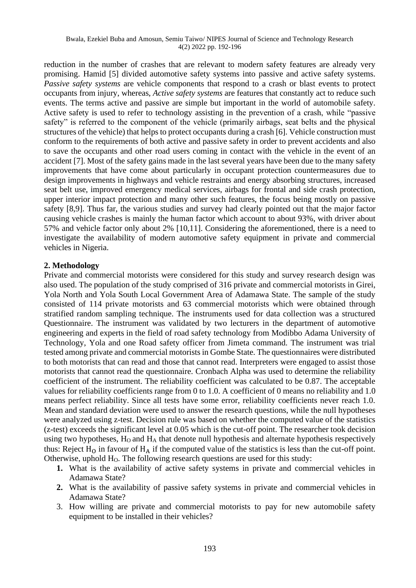#### Bwala, Ezekiel Buba and Amosun, Semiu Taiwo/ NIPES Journal of Science and Technology Research 4(2) 2022 pp. 192-196

reduction in the number of crashes that are relevant to modern safety features are already very promising. Hamid [5] divided automotive safety systems into passive and active safety systems. *Passive safety systems* are vehicle components that respond to a crash or blast events to protect occupants from injury, whereas, *Active safety systems* are features that constantly act to reduce such events. The terms active and passive are simple but important in the world of automobile safety. Active safety is used to refer to technology assisting in the prevention of a crash, while "passive safety" is referred to the component of the vehicle (primarily airbags, seat belts and the physical structures of the vehicle) that helps to protect occupants during a crash [6]. Vehicle construction must conform to the requirements of both active and passive safety in order to prevent accidents and also to save the occupants and other road users coming in contact with the vehicle in the event of an accident [7]. Most of the safety gains made in the last several years have been due to the many safety improvements that have come about particularly in occupant protection countermeasures due to design improvements in highways and vehicle restraints and energy absorbing structures, increased seat belt use, improved emergency medical services, airbags for frontal and side crash protection, upper interior impact protection and many other such features, the focus being mostly on passive safety [8,9]. Thus far, the various studies and survey had clearly pointed out that the major factor causing vehicle crashes is mainly the human factor which account to about 93%, with driver about 57% and vehicle factor only about 2% [10,11]. Considering the aforementioned, there is a need to investigate the availability of modern automotive safety equipment in private and commercial vehicles in Nigeria.

## **2. Methodology**

Private and commercial motorists were considered for this study and survey research design was also used. The population of the study comprised of 316 private and commercial motorists in Girei, Yola North and Yola South Local Government Area of Adamawa State. The sample of the study consisted of 114 private motorists and 63 commercial motorists which were obtained through stratified random sampling technique. The instruments used for data collection was a structured Questionnaire. The instrument was validated by two lecturers in the department of automotive engineering and experts in the field of road safety technology from Modibbo Adama University of Technology, Yola and one Road safety officer from Jimeta command. The instrument was trial tested among private and commercial motorists in Gombe State. The questionnaires were distributed to both motorists that can read and those that cannot read. Interpreters were engaged to assist those motorists that cannot read the questionnaire. Cronbach Alpha was used to determine the reliability coefficient of the instrument. The reliability coefficient was calculated to be 0.87. The acceptable values for reliability coefficients range from 0 to 1.0. A coefficient of 0 means no reliability and 1.0 means perfect reliability. Since all tests have some error, reliability coefficients never reach 1.0. Mean and standard deviation were used to answer the research questions, while the null hypotheses were analyzed using z-test. Decision rule was based on whether the computed value of the statistics (z-test) exceeds the significant level at 0.05 which is the cut-off point. The researcher took decision using two hypotheses, H<sub>O</sub> and H<sub>A</sub> that denote null hypothesis and alternate hypothesis respectively thus: Reject  $H_0$  in favour of  $H_A$  if the computed value of the statistics is less than the cut-off point. Otherwise, uphold  $H<sub>0</sub>$ . The following research questions are used for this study:

- **1.** What is the availability of active safety systems in private and commercial vehicles in Adamawa State?
- **2.** What is the availability of passive safety systems in private and commercial vehicles in Adamawa State?
- 3. How willing are private and commercial motorists to pay for new automobile safety equipment to be installed in their vehicles?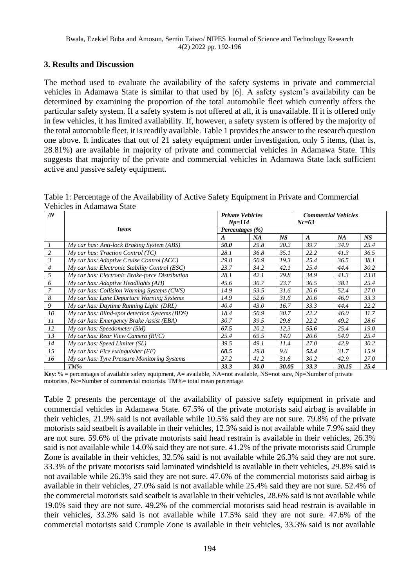# **3. Results and Discussion**

The method used to evaluate the availability of the safety systems in private and commercial vehicles in Adamawa State is similar to that used by [6]. A safety system's availability can be determined by examining the proportion of the total automobile fleet which currently offers the particular safety system. If a safety system is not offered at all, it is unavailable. If it is offered only in few vehicles, it has limited availability. If, however, a safety system is offered by the majority of the total automobile fleet, it is readily available. Table 1 provides the answer to the research question one above. It indicates that out of 21 safety equipment under investigation, only 5 items, (that is, 28.81%) are available in majority of private and commercial vehicles in Adamawa State. This suggests that majority of the private and commercial vehicles in Adamawa State lack sufficient active and passive safety equipment.

| Table 1: Percentage of the Availability of Active Safety Equipment in Private and Commercial |  |  |
|----------------------------------------------------------------------------------------------|--|--|
| Vehicles in Adamawa State                                                                    |  |  |

| /N             |                                                 |                  | <b>Private Vehicles</b> |       |                  | <b>Commercial Vehicles</b> |      |  |  |
|----------------|-------------------------------------------------|------------------|-------------------------|-------|------------------|----------------------------|------|--|--|
|                |                                                 |                  | $Np=114$                |       | $Nc=63$          |                            |      |  |  |
|                | <b>Items</b>                                    |                  | Percentages $(\% )$     |       |                  |                            |      |  |  |
|                |                                                 | $\boldsymbol{A}$ | NA                      | NS    | $\boldsymbol{A}$ | <b>NA</b>                  | NS.  |  |  |
|                | My car has: Anti-lock Braking System (ABS)      | 50.0             | 29.8                    | 20.2  | 39.7             | 34.9                       | 25.4 |  |  |
| $\overline{c}$ | $My$ car has: Traction Control (TC)             | 28.1             | 36.8                    | 35.1  | 22.2             | 41.3                       | 36.5 |  |  |
| 3              | My car has: Adaptive Cruise Control (ACC)       | 29.8             | 50.9                    | 19.3  | 25.4             | 36.5                       | 38.1 |  |  |
| $\overline{4}$ | My car has: Electronic Stability Control (ESC)  | 23.7             | 34.2                    | 42.1  | 25.4             | 44.4                       | 30.2 |  |  |
| 5              | My car has: Electronic Brake-force Distribution | 28.1             | 42.1                    | 29.8  | 34.9             | 41.3                       | 23.8 |  |  |
| 6              | My car has: Adaptive Headlights (AH)            | 45.6             | 30.7                    | 23.7  | 36.5             | 38.1                       | 25.4 |  |  |
| 7              | My car has: Collision Warning Systems (CWS)     | 14.9             | 53.5                    | 31.6  | 20.6             | 52.4                       | 27.0 |  |  |
| 8              | My car has: Lane Departure Warning Systems      | 14.9             | 52.6                    | 31.6  | 20.6             | 46.0                       | 33.3 |  |  |
| 9              | My car has: Daytime Running Light (DRL)         | 40.4             | 43.0                    | 16.7  | 33.3             | 44.4                       | 22.2 |  |  |
| 10             | My car has: Blind-spot detection Systems (BDS)  | 18.4             | 50.9                    | 30.7  | 22.2             | 46.0                       | 31.7 |  |  |
| II             | My car has: Emergency Brake Assist (EBA)        | 30.7             | 39.5                    | 29.8  | 22.2             | 49.2                       | 28.6 |  |  |
| 12             | $My$ car has: Speedometer (SM)                  | 67.5             | 20.2                    | 12.3  | 55.6             | 25.4                       | 19.0 |  |  |
| 13             | My car has: Rear View Camera (RVC)              | 25.4             | 69.5                    | 14.0  | 20.6             | 54.0                       | 25.4 |  |  |
| 14             | My car has: Speed Limiter (SL)                  | 39.5             | 49.1                    | 11.4  | 27.0             | 42.9                       | 30.2 |  |  |
| 15             | $My$ car has: Fire extinguisher (FE)            | 60.5             | 29.8                    | 9.6   | 52.4             | 31.7                       | 15.9 |  |  |
| 16             | My car has: Tyre Pressure Monitoring Systems    | 27.2             | 41.2                    | 31.6  | 30.2             | 42.9                       | 27.0 |  |  |
|                | $TM\%$                                          | 33.3             | <b>30.0</b>             | 30.05 | 33.3             | 30.15                      | 25.4 |  |  |

**Key**: % = percentages of available safety equipment, A**=** available, NA=not available, NS=not sure, Np=Number of private motorists, Nc=Number of commercial motorists. TM%= total mean percentage

Table 2 presents the percentage of the availability of passive safety equipment in private and commercial vehicles in Adamawa State. 67.5% of the private motorists said airbag is available in their vehicles, 21.9% said is not available while 10.5% said they are not sure. 79.8% of the private motorists said seatbelt is available in their vehicles, 12.3% said is not available while 7.9% said they are not sure. 59.6% of the private motorists said head restrain is available in their vehicles, 26.3% said is not available while 14.0% said they are not sure. 41.2% of the private motorists said Crumple Zone is available in their vehicles, 32.5% said is not available while 26.3% said they are not sure. 33.3% of the private motorists said laminated windshield is available in their vehicles, 29.8% said is not available while 26.3% said they are not sure. 47.6% of the commercial motorists said airbag is available in their vehicles, 27.0% said is not available while 25.4% said they are not sure. 52.4% of the commercial motorists said seatbelt is available in their vehicles, 28.6% said is not available while 19.0% said they are not sure. 49.2% of the commercial motorists said head restrain is available in their vehicles, 33.3% said is not available while 17.5% said they are not sure. 47.6% of the commercial motorists said Crumple Zone is available in their vehicles, 33.3% said is not available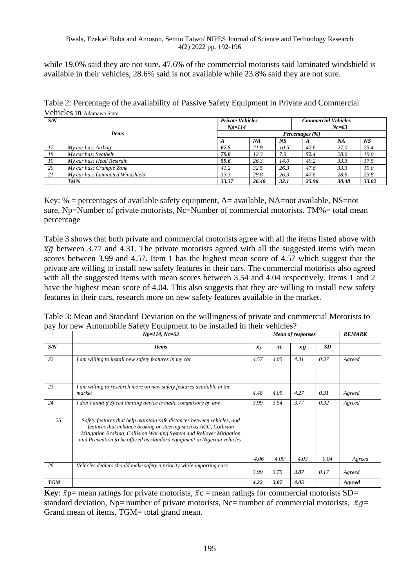while 19.0% said they are not sure. 47.6% of the commercial motorists said laminated windshield is available in their vehicles, 28.6% said is not available while 23.8% said they are not sure.

Table 2: Percentage of the availability of Passive Safety Equipment in Private and Commercial Vehicles in Adamawa State

| S/N |                                  | <b>Private Vehicles</b> |       |      | <b>Commercial Vehicles</b> |       |       |  |
|-----|----------------------------------|-------------------------|-------|------|----------------------------|-------|-------|--|
|     |                                  | $Np=114$<br>$Nc=63$     |       |      |                            |       |       |  |
|     | <b>Items</b>                     | Percentages (%)         |       |      |                            |       |       |  |
|     |                                  | A                       | NA    | NS   | A                          | NA    | NS    |  |
| 17  | My car has: Airbag               | 67.5                    | 21.9  | 10.5 | 47.6                       | 27.0  | 25.4  |  |
| 18  | My car has: Seatbelt             | 79.8                    | 12.3  | 7.9  | 52.4                       | 28.6  | 19.0  |  |
| 19  | My car has: Head Restrain        | 59.6                    | 26.3  | 14.0 | 49.2                       | 33.3  | 17.5  |  |
| 20  | My car has: Crumple Zone         | 41.2                    | 32.5  | 26.3 | 47.6                       | 33.3  | 19.0  |  |
| 21  | My car has: Laminated Windshield | 33.3                    | 29.8  | 26.3 | 47.6                       | 28.6  | 23.8  |  |
|     | TM%                              | 33.37                   | 26.48 | 32.1 | 25.96                      | 30.48 | 33.02 |  |

Key: % = percentages of available safety equipment, A**=** available, NA=not available, NS=not sure, Np=Number of private motorists, Nc=Number of commercial motorists. TM%= total mean percentage

Table 3 shows that both private and commercial motorists agree with all the items listed above with  $\overline{X\overline{G}}$  between 3.77 and 4.31. The private motorists agreed with all the suggested items with mean scores between 3.99 and 4.57. Item 1 has the highest mean score of 4.57 which suggest that the private are willing to install new safety features in their cars. The commercial motorists also agreed with all the suggested items with mean scores between 3.54 and 4.04 respectively. Items 1 and 2 have the highest mean score of 4.04. This also suggests that they are willing to install new safety features in their cars, research more on new safety features available in the market.

|            | $Np=114, Nc=63$                                                                                                                                                                                                                                                                                 | <b>Mean of responses</b>    |                 |                 | <b>REMARK</b> |                  |
|------------|-------------------------------------------------------------------------------------------------------------------------------------------------------------------------------------------------------------------------------------------------------------------------------------------------|-----------------------------|-----------------|-----------------|---------------|------------------|
| S/N        | <b>Items</b>                                                                                                                                                                                                                                                                                    | $\overline{\mathfrak{X}}_p$ | $\overline{xc}$ | $\overline{xg}$ | <b>SD</b>     |                  |
| 22         | I am willing to install new safety features in my car                                                                                                                                                                                                                                           | 4.57                        | 4.05            | 4.31            | 0.37          | Agreed           |
| 23         | I am willing to research more on new safety features available in the<br>market                                                                                                                                                                                                                 | 4.48                        | 4.05            | 4.27            | 0.31          | Agreed           |
| 24         | I don't mind if Speed limiting device is made compulsory by law                                                                                                                                                                                                                                 | 3.99                        | 3.54            | 3.77            | 0.32          | Agreed           |
| 25         | Safety features that help maintain safe distances between vehicles, and<br>features that enhance braking or steering such as ACC, Collision<br>Mitigation Braking, Collision Warning System and Rollover Mitigation<br>and Prevention to be offered as standard equipment in Nigerian vehicles. |                             |                 |                 |               |                  |
| 26         | Vehicles dealers should make safety a priority while importing cars                                                                                                                                                                                                                             | 4.06<br>3.99                | 4.00<br>3.75    | 4.03<br>3.87    | 0.04<br>0.17  | Agreed<br>Agreed |
| <b>TGM</b> |                                                                                                                                                                                                                                                                                                 | 4.22                        | 3.87            | 4.05            |               | Agreed           |

Table 3: Mean and Standard Deviation on the willingness of private and commercial Motorists to pay for new Automobile Safety Equipment to be installed in their vehicles?

**Key**:  $\bar{x}p$  = mean ratings for private motorists,  $\bar{x}c$  = mean ratings for commercial motorists SD= standard deviation, Np= number of private motorists, Nc= number of commercial motorists,  $\bar{x}g=$ Grand mean of items, TGM= total grand mean.